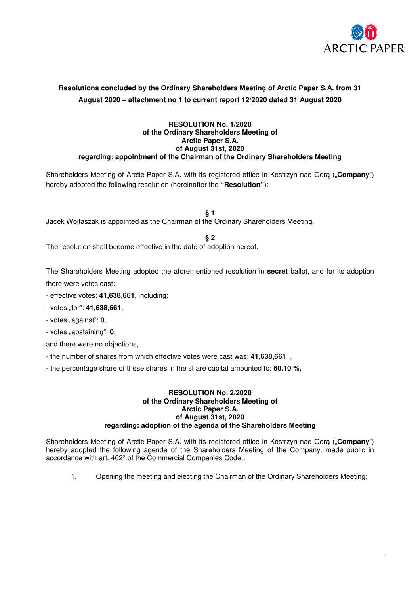

# **Resolutions concluded by the Ordinary Shareholders Meeting of Arctic Paper S.A. from 31 August 2020 – attachment no 1 to current report 12/2020 dated 31 August 2020**

### **RESOLUTION No. 1/2020 of the Ordinary Shareholders Meeting of Arctic Paper S.A. of August 31st, 2020 regarding: appointment of the Chairman of the Ordinary Shareholders Meeting**

Shareholders Meeting of Arctic Paper S.A. with its registered office in Kostrzyn nad Odrą ("Company") hereby adopted the following resolution (hereinafter the **"Resolution"**):

**§ 1**  Jacek Wojtaszak is appointed as the Chairman of the Ordinary Shareholders Meeting.

**§ 2** 

The resolution shall become effective in the date of adoption hereof.

The Shareholders Meeting adopted the aforementioned resolution in **secret** ballot, and for its adoption there were votes cast:

- effective votes: **41,638,661**, including:
- votes "for": **41,638,661**,
- votes "against": **0**,
- votes "abstaining": **0**,
- and there were no objections,
- the number of shares from which effective votes were cast was: **41,638,661** ,
- the percentage share of these shares in the share capital amounted to: **60.10 %,**

#### **RESOLUTION No. 2/2020 of the Ordinary Shareholders Meeting of Arctic Paper S.A. of August 31st, 2020 regarding: adoption of the agenda of the Shareholders Meeting**

Shareholders Meeting of Arctic Paper S.A. with its registered office in Kostrzyn nad Odrą ("**Company**") hereby adopted the following agenda of the Shareholders Meeting of the Company, made public in accordance with art. 402<sup>2</sup> of the Commercial Companies Code,:

1. Opening the meeting and electing the Chairman of the Ordinary Shareholders Meeting;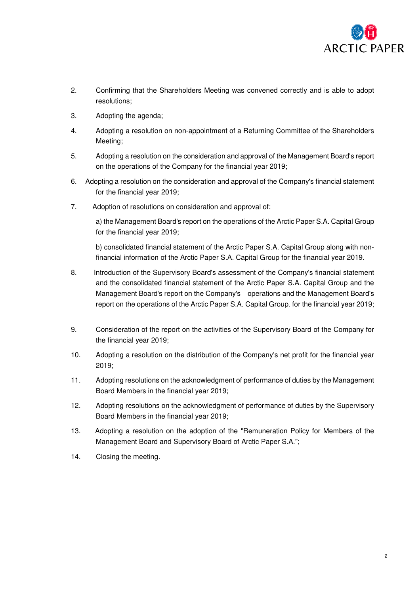

- 2. Confirming that the Shareholders Meeting was convened correctly and is able to adopt resolutions;
- 3. Adopting the agenda;
- 4. Adopting a resolution on non-appointment of a Returning Committee of the Shareholders Meeting;
- 5. Adopting a resolution on the consideration and approval of the Management Board's report on the operations of the Company for the financial year 2019;
- 6. Adopting a resolution on the consideration and approval of the Company's financial statement for the financial year 2019;
- 7. Adoption of resolutions on consideration and approval of:

a) the Management Board's report on the operations of the Arctic Paper S.A. Capital Group for the financial year 2019;

b) consolidated financial statement of the Arctic Paper S.A. Capital Group along with nonfinancial information of the Arctic Paper S.A. Capital Group for the financial year 2019.

- 8. Introduction of the Supervisory Board's assessment of the Company's financial statement and the consolidated financial statement of the Arctic Paper S.A. Capital Group and the Management Board's report on the Company's operations and the Management Board's report on the operations of the Arctic Paper S.A. Capital Group. for the financial year 2019;
- 9. Consideration of the report on the activities of the Supervisory Board of the Company for the financial year 2019;
- 10. Adopting a resolution on the distribution of the Company's net profit for the financial year 2019;
- 11. Adopting resolutions on the acknowledgment of performance of duties by the Management Board Members in the financial year 2019;
- 12. Adopting resolutions on the acknowledgment of performance of duties by the Supervisory Board Members in the financial year 2019;
- 13. Adopting a resolution on the adoption of the "Remuneration Policy for Members of the Management Board and Supervisory Board of Arctic Paper S.A.";
- 14. Closing the meeting.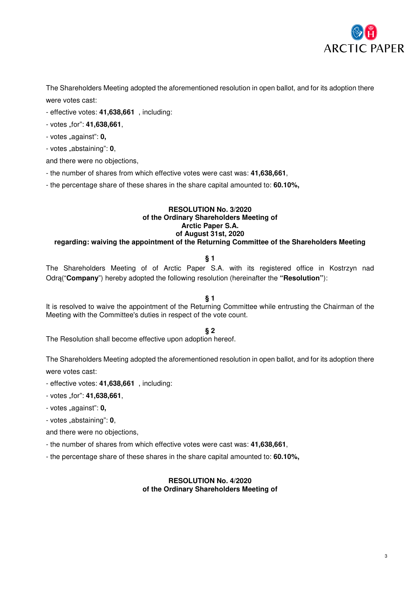

The Shareholders Meeting adopted the aforementioned resolution in open ballot, and for its adoption there were votes cast:

- effective votes: **41,638,661** , including:
- votes "for": **41,638,661**,
- votes "against": **0**,
- votes "abstaining": **0**,

and there were no objections,

- the number of shares from which effective votes were cast was: **41,638,661**,
- the percentage share of these shares in the share capital amounted to: **60.10%,**

#### **RESOLUTION No. 3/2020 of the Ordinary Shareholders Meeting of Arctic Paper S.A. of August 31st, 2020 regarding: waiving the appointment of the Returning Committee of the Shareholders Meeting**

# **§ 1**

The Shareholders Meeting of of Arctic Paper S.A. with its registered office in Kostrzyn nad Odrą("**Company**") hereby adopted the following resolution (hereinafter the **"Resolution"**):

# **§ 1**

It is resolved to waive the appointment of the Returning Committee while entrusting the Chairman of the Meeting with the Committee's duties in respect of the vote count.

# **§ 2**

The Resolution shall become effective upon adoption hereof.

The Shareholders Meeting adopted the aforementioned resolution in open ballot, and for its adoption there were votes cast:

- effective votes: **41,638,661** , including:

- votes "for": **41,638,661**,
- votes "against": **0,**
- votes "abstaining": **0**,

and there were no objections,

- the number of shares from which effective votes were cast was: **41,638,661**,

- the percentage share of these shares in the share capital amounted to: **60.10%,**

### **RESOLUTION No. 4/2020 of the Ordinary Shareholders Meeting of**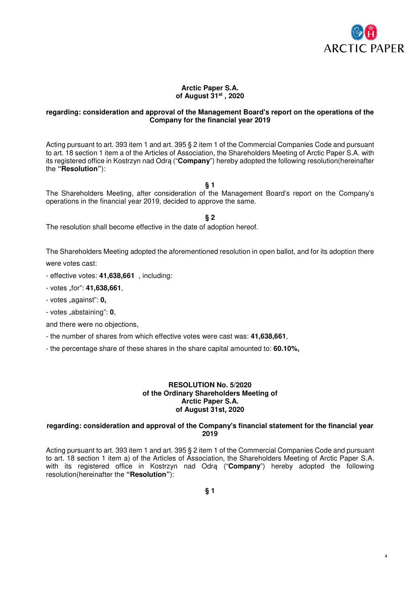

4

### **Arctic Paper S.A. of August 31st , 2020**

### **regarding: consideration and approval of the Management Board's report on the operations of the Company for the financial year 2019**

Acting pursuant to art. 393 item 1 and art. 395 § 2 item 1 of the Commercial Companies Code and pursuant to art. 18 section 1 item a of the Articles of Association, the Shareholders Meeting of Arctic Paper S.A. with its registered office in Kostrzyn nad Odrą ("**Company**") hereby adopted the following resolution(hereinafter the **"Resolution"**):

**§ 1** 

The Shareholders Meeting, after consideration of the Management Board's report on the Company's operations in the financial year 2019, decided to approve the same.

**§ 2** 

The resolution shall become effective in the date of adoption hereof.

The Shareholders Meeting adopted the aforementioned resolution in open ballot, and for its adoption there were votes cast:

- effective votes: **41,638,661** , including:

- votes "for": **41,638,661**,

- votes "against": **0,**

- votes "abstaining": 0,

and there were no objections,

- the number of shares from which effective votes were cast was: **41,638,661**,

- the percentage share of these shares in the share capital amounted to: **60.10%,**

### **RESOLUTION No. 5/2020 of the Ordinary Shareholders Meeting of Arctic Paper S.A. of August 31st, 2020**

### **regarding: consideration and approval of the Company's financial statement for the financial year 2019**

Acting pursuant to art. 393 item 1 and art. 395 § 2 item 1 of the Commercial Companies Code and pursuant to art. 18 section 1 item a) of the Articles of Association, the Shareholders Meeting of Arctic Paper S.A. with its registered office in Kostrzyn nad Odrą ("**Company**") hereby adopted the following resolution(hereinafter the **"Resolution"**):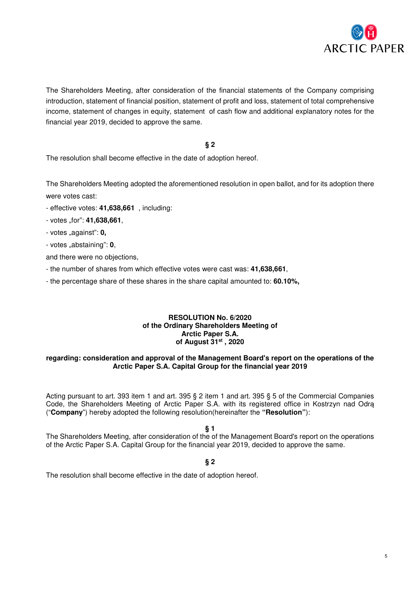

The Shareholders Meeting, after consideration of the financial statements of the Company comprising introduction, statement of financial position, statement of profit and loss, statement of total comprehensive income, statement of changes in equity, statement of cash flow and additional explanatory notes for the financial year 2019, decided to approve the same.

# **§ 2**

The resolution shall become effective in the date of adoption hereof.

The Shareholders Meeting adopted the aforementioned resolution in open ballot, and for its adoption there were votes cast:

- effective votes: **41,638,661** , including:
- votes "for": **41,638,661**,
- votes "against": **0**,
- votes "abstaining": **0**,
- and there were no objections,
- the number of shares from which effective votes were cast was: **41,638,661**,
- the percentage share of these shares in the share capital amounted to: **60.10%,**

### **RESOLUTION No. 6/2020 of the Ordinary Shareholders Meeting of Arctic Paper S.A. of August 31st , 2020**

### **regarding: consideration and approval of the Management Board's report on the operations of the Arctic Paper S.A. Capital Group for the financial year 2019**

Acting pursuant to art. 393 item 1 and art. 395 § 2 item 1 and art. 395 § 5 of the Commercial Companies Code, the Shareholders Meeting of Arctic Paper S.A. with its registered office in Kostrzyn nad Odrą ("**Company**") hereby adopted the following resolution(hereinafter the **"Resolution"**):

**§ 1** 

The Shareholders Meeting, after consideration of the of the Management Board's report on the operations of the Arctic Paper S.A. Capital Group for the financial year 2019, decided to approve the same.

# **§ 2**

The resolution shall become effective in the date of adoption hereof.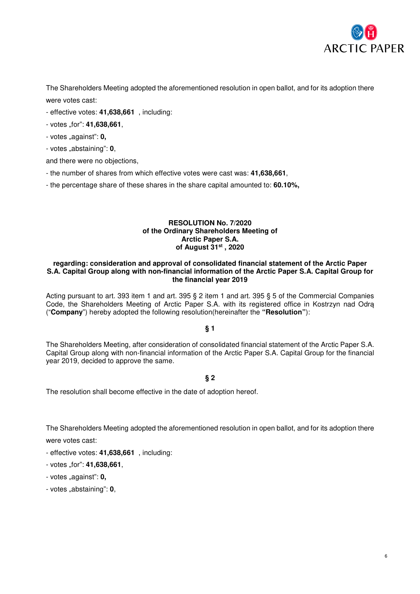

The Shareholders Meeting adopted the aforementioned resolution in open ballot, and for its adoption there were votes cast:

- effective votes: **41,638,661** , including:
- votes "for": **41,638,661**,
- votes "against": **0**,
- votes "abstaining": **0**,

and there were no objections,

- the number of shares from which effective votes were cast was: **41,638,661**,
- the percentage share of these shares in the share capital amounted to: **60.10%,**

#### **RESOLUTION No. 7/2020 of the Ordinary Shareholders Meeting of Arctic Paper S.A. of August 31st , 2020**

#### **regarding: consideration and approval of consolidated financial statement of the Arctic Paper S.A. Capital Group along with non-financial information of the Arctic Paper S.A. Capital Group for the financial year 2019**

Acting pursuant to art. 393 item 1 and art. 395 § 2 item 1 and art. 395 § 5 of the Commercial Companies Code, the Shareholders Meeting of Arctic Paper S.A. with its registered office in Kostrzyn nad Odrą ("**Company**") hereby adopted the following resolution(hereinafter the **"Resolution"**):

### **§ 1**

The Shareholders Meeting, after consideration of consolidated financial statement of the Arctic Paper S.A. Capital Group along with non-financial information of the Arctic Paper S.A. Capital Group for the financial year 2019, decided to approve the same.

# **§ 2**

The resolution shall become effective in the date of adoption hereof.

The Shareholders Meeting adopted the aforementioned resolution in open ballot, and for its adoption there

were votes cast:

- effective votes: **41,638,661** , including:
- votes "for": **41,638,661**,
- votes "against": **0,**
- votes "abstaining": **0**,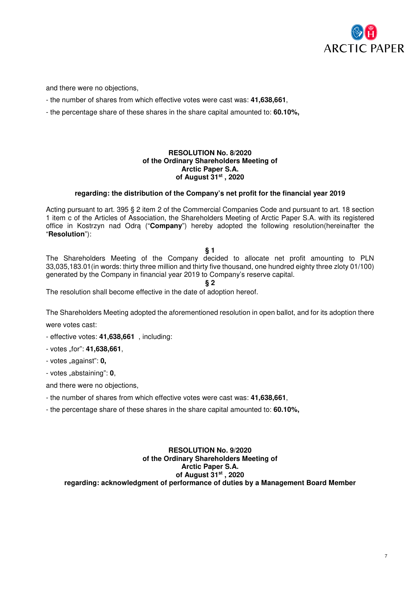

and there were no objections,

- the number of shares from which effective votes were cast was: **41,638,661**,
- the percentage share of these shares in the share capital amounted to: **60.10%,**

### **RESOLUTION No. 8/2020 of the Ordinary Shareholders Meeting of Arctic Paper S.A. of August 31st , 2020**

### **regarding: the distribution of the Company's net profit for the financial year 2019**

Acting pursuant to art. 395 § 2 item 2 of the Commercial Companies Code and pursuant to art. 18 section 1 item c of the Articles of Association, the Shareholders Meeting of Arctic Paper S.A. with its registered office in Kostrzyn nad Odrą ("**Company**") hereby adopted the following resolution(hereinafter the "**Resolution**"):

### **§ 1**

The Shareholders Meeting of the Company decided to allocate net profit amounting to PLN 33,035,183.01(in words: thirty three million and thirty five thousand, one hundred eighty three zloty 01/100) generated by the Company in financial year 2019 to Company's reserve capital.

**§ 2** 

The resolution shall become effective in the date of adoption hereof.

The Shareholders Meeting adopted the aforementioned resolution in open ballot, and for its adoption there

were votes cast:

- effective votes: **41,638,661** , including:
- votes "for": **41,638,661**,
- votes "against": **0**,
- votes "abstaining": **0**,

and there were no objections,

- the number of shares from which effective votes were cast was: **41,638,661**,

- the percentage share of these shares in the share capital amounted to: **60.10%,**

### **RESOLUTION No. 9/2020 of the Ordinary Shareholders Meeting of Arctic Paper S.A. of August 31st , 2020 regarding: acknowledgment of performance of duties by a Management Board Member**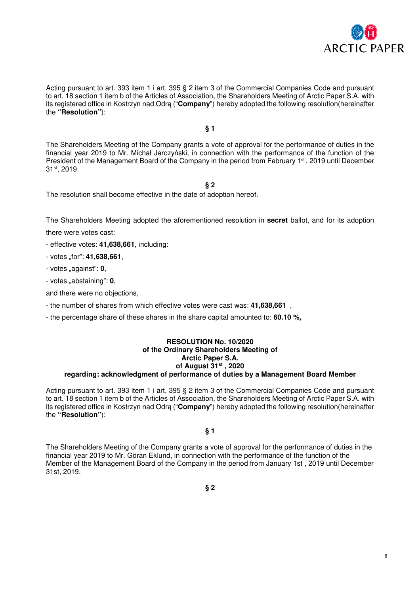

Acting pursuant to art. 393 item 1 i art. 395 § 2 item 3 of the Commercial Companies Code and pursuant to art. 18 section 1 item b of the Articles of Association, the Shareholders Meeting of Arctic Paper S.A. with its registered office in Kostrzyn nad Odrą ("**Company**") hereby adopted the following resolution(hereinafter the **"Resolution"**):

### **§ 1**

The Shareholders Meeting of the Company grants a vote of approval for the performance of duties in the financial year 2019 to Mr. Michał Jarczyński, in connection with the performance of the function of the President of the Management Board of the Company in the period from February 1<sup>st</sup>, 2019 until December 31st, 2019.

**§ 2** 

The resolution shall become effective in the date of adoption hereof.

The Shareholders Meeting adopted the aforementioned resolution in **secret** ballot, and for its adoption

there were votes cast:

- effective votes: **41,638,661**, including:
- votes "for": **41,638,661**,
- votes "against": **0**,
- votes "abstaining": **0**,

and there were no objections,

- the number of shares from which effective votes were cast was: **41,638,661** ,
- the percentage share of these shares in the share capital amounted to: **60.10 %,**

#### **RESOLUTION No. 10/2020 of the Ordinary Shareholders Meeting of Arctic Paper S.A. of August 31st , 2020 regarding: acknowledgment of performance of duties by a Management Board Member**

Acting pursuant to art. 393 item 1 i art. 395 § 2 item 3 of the Commercial Companies Code and pursuant to art. 18 section 1 item b of the Articles of Association, the Shareholders Meeting of Arctic Paper S.A. with its registered office in Kostrzyn nad Odrą ("**Company**") hereby adopted the following resolution(hereinafter the **"Resolution"**):

### **§ 1**

The Shareholders Meeting of the Company grants a vote of approval for the performance of duties in the financial year 2019 to Mr. Göran Eklund, in connection with the performance of the function of the Member of the Management Board of the Company in the period from January 1st , 2019 until December 31st, 2019.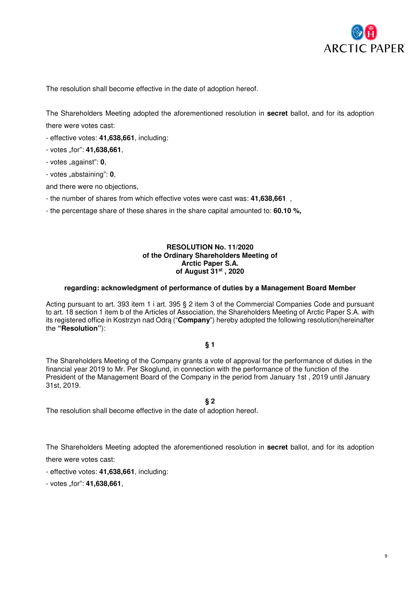

The resolution shall become effective in the date of adoption hereof.

The Shareholders Meeting adopted the aforementioned resolution in **secret** ballot, and for its adoption there were votes cast:

- effective votes: **41,638,661**, including:
- votes "for": **41,638,661**,
- votes "against": **0**,
- votes "abstaining": **0**,

and there were no objections,

- the number of shares from which effective votes were cast was: **41,638,661** ,
- the percentage share of these shares in the share capital amounted to: **60.10 %,**

### **RESOLUTION No. 11/2020 of the Ordinary Shareholders Meeting of Arctic Paper S.A. of August 31st , 2020**

#### **regarding: acknowledgment of performance of duties by a Management Board Member**

Acting pursuant to art. 393 item 1 i art. 395 § 2 item 3 of the Commercial Companies Code and pursuant to art. 18 section 1 item b of the Articles of Association, the Shareholders Meeting of Arctic Paper S.A. with its registered office in Kostrzyn nad Odrą ("**Company**") hereby adopted the following resolution(hereinafter the **"Resolution"**):

# **§ 1**

The Shareholders Meeting of the Company grants a vote of approval for the performance of duties in the financial year 2019 to Mr. Per Skoglund, in connection with the performance of the function of the President of the Management Board of the Company in the period from January 1st , 2019 until January 31st, 2019.

# **§ 2**

The resolution shall become effective in the date of adoption hereof.

The Shareholders Meeting adopted the aforementioned resolution in **secret** ballot, and for its adoption there were votes cast:

- effective votes: **41,638,661**, including:

- votes "for": **41,638,661**,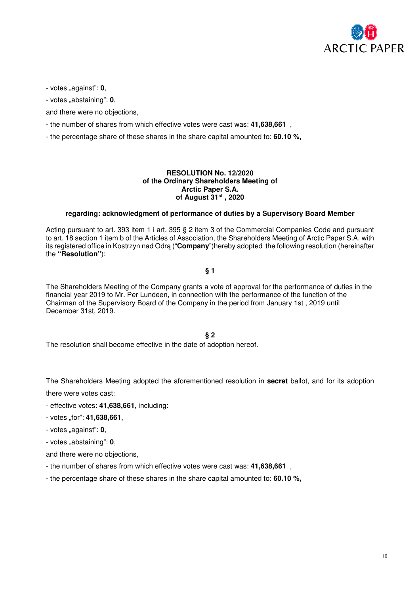

- votes "against": **0**,

- votes "abstaining": **0**,

and there were no objections,

- the number of shares from which effective votes were cast was: **41,638,661** ,
- the percentage share of these shares in the share capital amounted to: **60.10 %,**

### **RESOLUTION No. 12/2020 of the Ordinary Shareholders Meeting of Arctic Paper S.A. of August 31st , 2020**

### **regarding: acknowledgment of performance of duties by a Supervisory Board Member**

Acting pursuant to art. 393 item 1 i art. 395 § 2 item 3 of the Commercial Companies Code and pursuant to art. 18 section 1 item b of the Articles of Association, the Shareholders Meeting of Arctic Paper S.A. with its registered office in Kostrzyn nad Odrą ("**Company**")hereby adopted the following resolution (hereinafter the **"Resolution"**):

# **§ 1**

The Shareholders Meeting of the Company grants a vote of approval for the performance of duties in the financial year 2019 to Mr. Per Lundeen, in connection with the performance of the function of the Chairman of the Supervisory Board of the Company in the period from January 1st , 2019 until December 31st, 2019.

#### **§ 2**

The resolution shall become effective in the date of adoption hereof.

The Shareholders Meeting adopted the aforementioned resolution in **secret** ballot, and for its adoption there were votes cast:

- effective votes: **41,638,661**, including:
- votes "for": **41,638,661**,
- votes "against": **0**,
- votes "abstaining": **0**,

and there were no objections,

- the number of shares from which effective votes were cast was: **41,638,661** ,
- the percentage share of these shares in the share capital amounted to: **60.10 %,**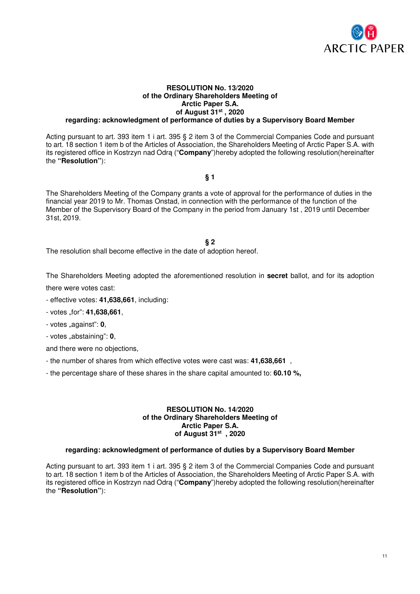

#### **RESOLUTION No. 13/2020 of the Ordinary Shareholders Meeting of Arctic Paper S.A. of August 31st , 2020 regarding: acknowledgment of performance of duties by a Supervisory Board Member**

Acting pursuant to art. 393 item 1 i art. 395 § 2 item 3 of the Commercial Companies Code and pursuant to art. 18 section 1 item b of the Articles of Association, the Shareholders Meeting of Arctic Paper S.A. with its registered office in Kostrzyn nad Odrą ("**Company**")hereby adopted the following resolution(hereinafter the **"Resolution"**):

**§ 1** 

The Shareholders Meeting of the Company grants a vote of approval for the performance of duties in the financial year 2019 to Mr. Thomas Onstad, in connection with the performance of the function of the Member of the Supervisory Board of the Company in the period from January 1st , 2019 until December 31st, 2019.

#### **§ 2**

The resolution shall become effective in the date of adoption hereof.

The Shareholders Meeting adopted the aforementioned resolution in **secret** ballot, and for its adoption there were votes cast:

- effective votes: **41,638,661**, including:
- votes "for": **41,638,661**,
- votes "against": **0**,
- votes "abstaining": **0**,

and there were no objections,

- the number of shares from which effective votes were cast was: **41,638,661** ,
- the percentage share of these shares in the share capital amounted to: **60.10 %,**

#### **RESOLUTION No. 14/2020 of the Ordinary Shareholders Meeting of Arctic Paper S.A. of August 31st , 2020**

#### **regarding: acknowledgment of performance of duties by a Supervisory Board Member**

Acting pursuant to art. 393 item 1 i art. 395 § 2 item 3 of the Commercial Companies Code and pursuant to art. 18 section 1 item b of the Articles of Association, the Shareholders Meeting of Arctic Paper S.A. with its registered office in Kostrzyn nad Odrą ("**Company**")hereby adopted the following resolution(hereinafter the **"Resolution"**):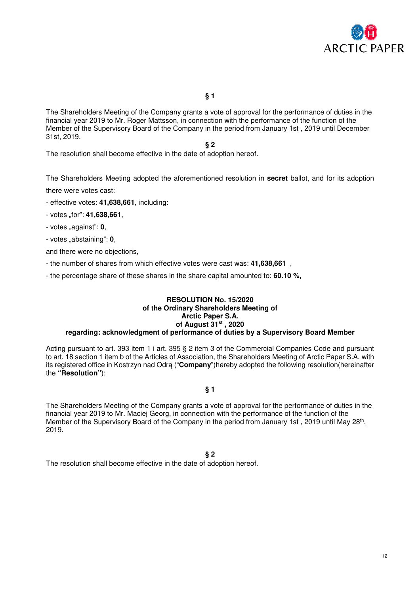

**§ 1** 

The Shareholders Meeting of the Company grants a vote of approval for the performance of duties in the financial year 2019 to Mr. Roger Mattsson, in connection with the performance of the function of the Member of the Supervisory Board of the Company in the period from January 1st , 2019 until December 31st, 2019.

**§ 2** 

The resolution shall become effective in the date of adoption hereof.

The Shareholders Meeting adopted the aforementioned resolution in **secret** ballot, and for its adoption there were votes cast:

- effective votes: **41,638,661**, including:
- votes "for": **41,638,661**,
- votes "against": **0**,
- votes "abstaining": **0**,

and there were no objections,

- the number of shares from which effective votes were cast was: **41,638,661** ,
- the percentage share of these shares in the share capital amounted to: **60.10 %,**

#### **RESOLUTION No. 15/2020 of the Ordinary Shareholders Meeting of Arctic Paper S.A. of August 31st , 2020 regarding: acknowledgment of performance of duties by a Supervisory Board Member**

Acting pursuant to art. 393 item 1 i art. 395 § 2 item 3 of the Commercial Companies Code and pursuant to art. 18 section 1 item b of the Articles of Association, the Shareholders Meeting of Arctic Paper S.A. with its registered office in Kostrzyn nad Odrą ("**Company**")hereby adopted the following resolution(hereinafter the **"Resolution"**):

### **§ 1**

The Shareholders Meeting of the Company grants a vote of approval for the performance of duties in the financial year 2019 to Mr. Maciej Georg, in connection with the performance of the function of the Member of the Supervisory Board of the Company in the period from January 1st, 2019 until May 28<sup>th</sup>, 2019.

**§ 2** 

The resolution shall become effective in the date of adoption hereof.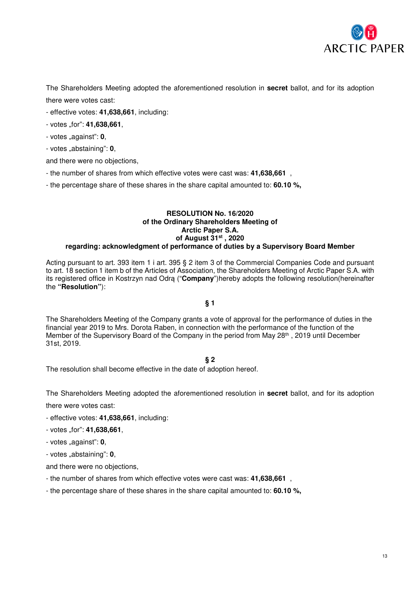

The Shareholders Meeting adopted the aforementioned resolution in **secret** ballot, and for its adoption there were votes cast:

- effective votes: **41,638,661**, including:
- votes "for": **41,638,661**,
- votes "against": **0**,
- votes "abstaining": **0**,

and there were no objections,

- the number of shares from which effective votes were cast was: **41,638,661** ,
- the percentage share of these shares in the share capital amounted to: **60.10 %,**

#### **RESOLUTION No. 16/2020 of the Ordinary Shareholders Meeting of Arctic Paper S.A. of August 31st , 2020 regarding: acknowledgment of performance of duties by a Supervisory Board Member**

Acting pursuant to art. 393 item 1 i art. 395 § 2 item 3 of the Commercial Companies Code and pursuant to art. 18 section 1 item b of the Articles of Association, the Shareholders Meeting of Arctic Paper S.A. with its registered office in Kostrzyn nad Odrą ("**Company**")hereby adopts the following resolution(hereinafter the **"Resolution"**):

# **§ 1**

The Shareholders Meeting of the Company grants a vote of approval for the performance of duties in the financial year 2019 to Mrs. Dorota Raben, in connection with the performance of the function of the Member of the Supervisory Board of the Company in the period from May 28<sup>th</sup>, 2019 until December 31st, 2019.

# **§ 2**

The resolution shall become effective in the date of adoption hereof.

The Shareholders Meeting adopted the aforementioned resolution in **secret** ballot, and for its adoption there were votes cast:

- effective votes: **41,638,661**, including:
- votes "for": **41,638,661**,
- votes "against": **0**,
- votes "abstaining": **0**,

and there were no objections,

- the number of shares from which effective votes were cast was: **41,638,661** ,
- the percentage share of these shares in the share capital amounted to: **60.10 %,**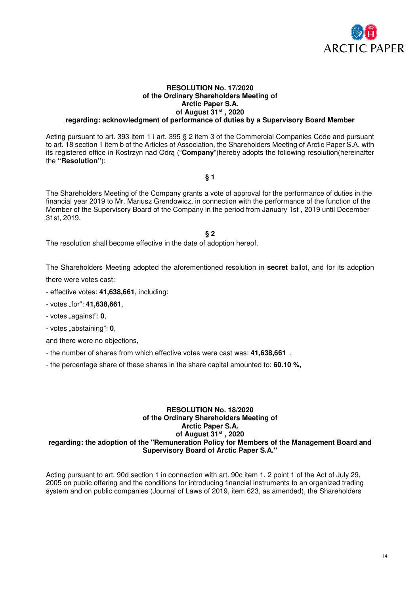

#### **RESOLUTION No. 17/2020 of the Ordinary Shareholders Meeting of Arctic Paper S.A. of August 31st , 2020 regarding: acknowledgment of performance of duties by a Supervisory Board Member**

Acting pursuant to art. 393 item 1 i art. 395 § 2 item 3 of the Commercial Companies Code and pursuant to art. 18 section 1 item b of the Articles of Association, the Shareholders Meeting of Arctic Paper S.A. with its registered office in Kostrzyn nad Odrą ("**Company**")hereby adopts the following resolution(hereinafter the **"Resolution"**):

**§ 1** 

The Shareholders Meeting of the Company grants a vote of approval for the performance of duties in the financial year 2019 to Mr. Mariusz Grendowicz, in connection with the performance of the function of the Member of the Supervisory Board of the Company in the period from January 1st , 2019 until December 31st, 2019.

#### **§ 2**

The resolution shall become effective in the date of adoption hereof.

The Shareholders Meeting adopted the aforementioned resolution in **secret** ballot, and for its adoption

there were votes cast:

- effective votes: **41,638,661**, including:

- votes "for": **41,638,661**,

- votes "against": **0**,

- votes "abstaining": **0**,

and there were no objections,

- the number of shares from which effective votes were cast was: **41,638,661** ,

- the percentage share of these shares in the share capital amounted to: **60.10 %,**

### **RESOLUTION No. 18/2020 of the Ordinary Shareholders Meeting of Arctic Paper S.A. of August 31st , 2020 regarding: the adoption of the "Remuneration Policy for Members of the Management Board and Supervisory Board of Arctic Paper S.A."**

Acting pursuant to art. 90d section 1 in connection with art. 90c item 1. 2 point 1 of the Act of July 29, 2005 on public offering and the conditions for introducing financial instruments to an organized trading system and on public companies (Journal of Laws of 2019, item 623, as amended), the Shareholders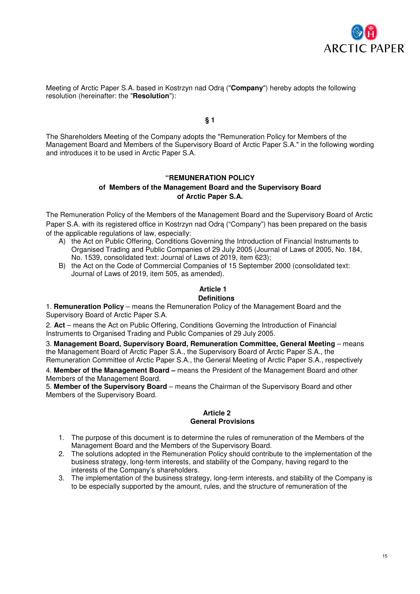

Meeting of Arctic Paper S.A. based in Kostrzyn nad Odrą ("**Company**") hereby adopts the following resolution (hereinafter: the "**Resolution**"):

**§ 1** 

The Shareholders Meeting of the Company adopts the "Remuneration Policy for Members of the Management Board and Members of the Supervisory Board of Arctic Paper S.A." in the following wording and introduces it to be used in Arctic Paper S.A.

# **"REMUNERATION POLICY**

# **of Members of the Management Board and the Supervisory Board of Arctic Paper S.A.**

The Remuneration Policy of the Members of the Management Board and the Supervisory Board of Arctic Paper S.A. with its registered office in Kostrzyn nad Odrą ("Company") has been prepared on the basis of the applicable regulations of law, especially:

- A) the Act on Public Offering, Conditions Governing the Introduction of Financial Instruments to Organised Trading and Public Companies of 29 July 2005 (Journal of Laws of 2005, No. 184, No. 1539, consolidated text: Journal of Laws of 2019, item 623);
- B) the Act on the Code of Commercial Companies of 15 September 2000 (consolidated text: Journal of Laws of 2019, item 505, as amended).

# **Article 1**

#### **Definitions**

1. **Remuneration Policy** – means the Remuneration Policy of the Management Board and the Supervisory Board of Arctic Paper S.A.

2. **Act** – means the Act on Public Offering, Conditions Governing the Introduction of Financial Instruments to Organised Trading and Public Companies of 29 July 2005.

3. Management Board, Supervisory Board, Remuneration Committee, General Meeting – means the Management Board of Arctic Paper S.A., the Supervisory Board of Arctic Paper S.A., the Remuneration Committee of Arctic Paper S.A., the General Meeting of Arctic Paper S.A., respectively

4. **Member of the Management Board –** means the President of the Management Board and other Members of the Management Board.

5. **Member of the Supervisory Board** – means the Chairman of the Supervisory Board and other Members of the Supervisory Board.

### **Article 2 General Provisions**

- 1. The purpose of this document is to determine the rules of remuneration of the Members of the Management Board and the Members of the Supervisory Board.
- 2. The solutions adopted in the Remuneration Policy should contribute to the implementation of the business strategy, long-term interests, and stability of the Company, having regard to the interests of the Company's shareholders.
- 3. The implementation of the business strategy, long-term interests, and stability of the Company is to be especially supported by the amount, rules, and the structure of remuneration of the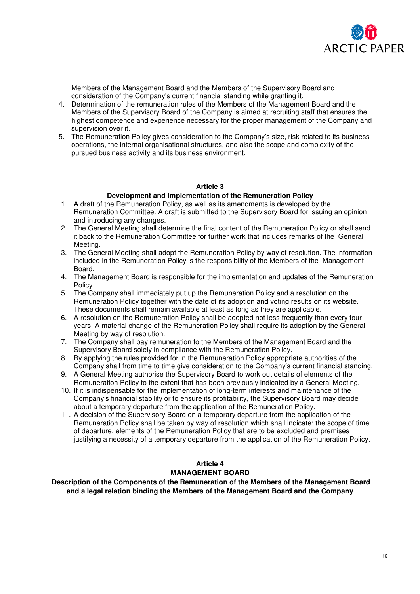

Members of the Management Board and the Members of the Supervisory Board and consideration of the Company's current financial standing while granting it.

- 4. Determination of the remuneration rules of the Members of the Management Board and the Members of the Supervisory Board of the Company is aimed at recruiting staff that ensures the highest competence and experience necessary for the proper management of the Company and supervision over it.
- 5. The Remuneration Policy gives consideration to the Company's size, risk related to its business operations, the internal organisational structures, and also the scope and complexity of the pursued business activity and its business environment.

# **Article 3**

# **Development and Implementation of the Remuneration Policy**

- 1. A draft of the Remuneration Policy, as well as its amendments is developed by the Remuneration Committee. A draft is submitted to the Supervisory Board for issuing an opinion and introducing any changes.
- 2. The General Meeting shall determine the final content of the Remuneration Policy or shall send it back to the Remuneration Committee for further work that includes remarks of the General Meeting.
- 3. The General Meeting shall adopt the Remuneration Policy by way of resolution. The information included in the Remuneration Policy is the responsibility of the Members of the Management Board.
- 4. The Management Board is responsible for the implementation and updates of the Remuneration Policy.
- 5. The Company shall immediately put up the Remuneration Policy and a resolution on the Remuneration Policy together with the date of its adoption and voting results on its website. These documents shall remain available at least as long as they are applicable.
- 6. A resolution on the Remuneration Policy shall be adopted not less frequently than every four years. A material change of the Remuneration Policy shall require its adoption by the General Meeting by way of resolution.
- 7. The Company shall pay remuneration to the Members of the Management Board and the Supervisory Board solely in compliance with the Remuneration Policy.
- 8. By applying the rules provided for in the Remuneration Policy appropriate authorities of the Company shall from time to time give consideration to the Company's current financial standing.
- 9. A General Meeting authorise the Supervisory Board to work out details of elements of the Remuneration Policy to the extent that has been previously indicated by a General Meeting.
- 10. If it is indispensable for the implementation of long-term interests and maintenance of the Company's financial stability or to ensure its profitability, the Supervisory Board may decide about a temporary departure from the application of the Remuneration Policy.
- 11. A decision of the Supervisory Board on a temporary departure from the application of the Remuneration Policy shall be taken by way of resolution which shall indicate: the scope of time of departure, elements of the Remuneration Policy that are to be excluded and premises justifying a necessity of a temporary departure from the application of the Remuneration Policy.

# **Article 4 MANAGEMENT BOARD**

 **Description of the Components of the Remuneration of the Members of the Management Board and a legal relation binding the Members of the Management Board and the Company**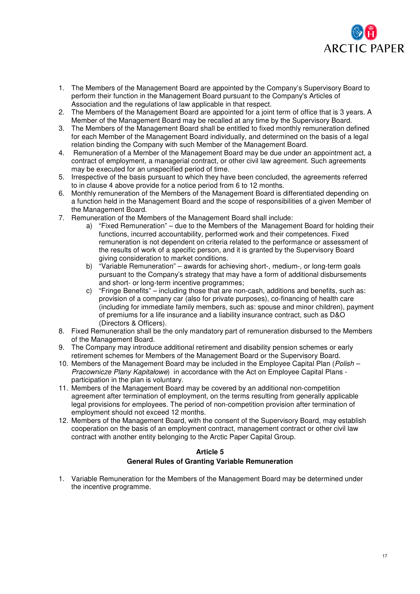

- 1. The Members of the Management Board are appointed by the Company's Supervisory Board to perform their function in the Management Board pursuant to the Company's Articles of Association and the regulations of law applicable in that respect.
- 2. The Members of the Management Board are appointed for a joint term of office that is 3 years. A Member of the Management Board may be recalled at any time by the Supervisory Board.
- 3. The Members of the Management Board shall be entitled to fixed monthly remuneration defined for each Member of the Management Board individually, and determined on the basis of a legal relation binding the Company with such Member of the Management Board.
- 4. Remuneration of a Member of the Management Board may be due under an appointment act, a contract of employment, a managerial contract, or other civil law agreement. Such agreements may be executed for an unspecified period of time.
- 5. Irrespective of the basis pursuant to which they have been concluded, the agreements referred to in clause 4 above provide for a notice period from 6 to 12 months.
- 6. Monthly remuneration of the Members of the Management Board is differentiated depending on a function held in the Management Board and the scope of responsibilities of a given Member of the Management Board.
- 7. Remuneration of the Members of the Management Board shall include:
	- a) "Fixed Remuneration" due to the Members of the Management Board for holding their functions, incurred accountability, performed work and their competences. Fixed remuneration is not dependent on criteria related to the performance or assessment of the results of work of a specific person, and it is granted by the Supervisory Board giving consideration to market conditions.
	- b) "Variable Remuneration" awards for achieving short-, medium-, or long-term goals pursuant to the Company's strategy that may have a form of additional disbursements and short- or long-term incentive programmes;
	- c) "Fringe Benefits" including those that are non-cash, additions and benefits, such as: provision of a company car (also for private purposes), co-financing of health care (including for immediate family members, such as: spouse and minor children), payment of premiums for a life insurance and a liability insurance contract, such as D&O (Directors & Officers).
- 8. Fixed Remuneration shall be the only mandatory part of remuneration disbursed to the Members of the Management Board.
- 9. The Company may introduce additional retirement and disability pension schemes or early retirement schemes for Members of the Management Board or the Supervisory Board.
- 10. Members of the Management Board may be included in the Employee Capital Plan (*Polish* Pracownicze Plany Kapitałowe) in accordance with the Act on Employee Capital Plans participation in the plan is voluntary.
- 11. Members of the Management Board may be covered by an additional non-competition agreement after termination of employment, on the terms resulting from generally applicable legal provisions for employees. The period of non-competition provision after termination of employment should not exceed 12 months.
- 12. Members of the Management Board, with the consent of the Supervisory Board, may establish cooperation on the basis of an employment contract, management contract or other civil law contract with another entity belonging to the Arctic Paper Capital Group.

# **Article 5**

# **General Rules of Granting Variable Remuneration**

1. Variable Remuneration for the Members of the Management Board may be determined under the incentive programme.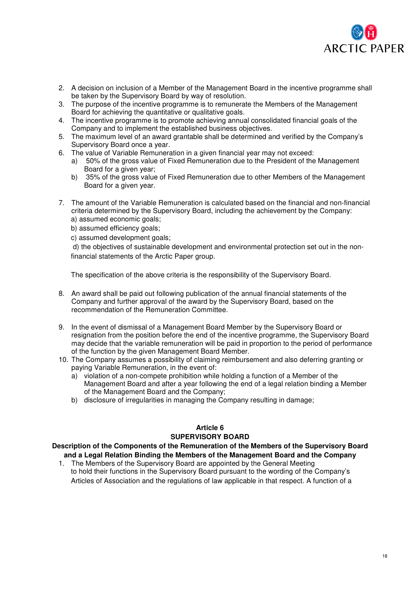

- 2. A decision on inclusion of a Member of the Management Board in the incentive programme shall be taken by the Supervisory Board by way of resolution.
- 3. The purpose of the incentive programme is to remunerate the Members of the Management Board for achieving the quantitative or qualitative goals.
- 4. The incentive programme is to promote achieving annual consolidated financial goals of the Company and to implement the established business objectives.
- 5. The maximum level of an award grantable shall be determined and verified by the Company's Supervisory Board once a year.
- 6. The value of Variable Remuneration in a given financial year may not exceed:
	- a) 50% of the gross value of Fixed Remuneration due to the President of the Management Board for a given year:
	- b) 35% of the gross value of Fixed Remuneration due to other Members of the Management Board for a given year.
- 7. The amount of the Variable Remuneration is calculated based on the financial and non-financial criteria determined by the Supervisory Board, including the achievement by the Company: a) assumed economic goals;
	- b) assumed efficiency goals;
	- c) assumed development goals;

 d) the objectives of sustainable development and environmental protection set out in the nonfinancial statements of the Arctic Paper group.

The specification of the above criteria is the responsibility of the Supervisory Board.

- 8. An award shall be paid out following publication of the annual financial statements of the Company and further approval of the award by the Supervisory Board, based on the recommendation of the Remuneration Committee.
- 9. In the event of dismissal of a Management Board Member by the Supervisory Board or resignation from the position before the end of the incentive programme, the Supervisory Board may decide that the variable remuneration will be paid in proportion to the period of performance of the function by the given Management Board Member.
- 10. The Company assumes a possibility of claiming reimbursement and also deferring granting or paying Variable Remuneration, in the event of:
	- a) violation of a non-compete prohibition while holding a function of a Member of the Management Board and after a year following the end of a legal relation binding a Member of the Management Board and the Company;
	- b) disclosure of irregularities in managing the Company resulting in damage;

# **Article 6 SUPERVISORY BOARD**

# **Description of the Components of the Remuneration of the Members of the Supervisory Board and a Legal Relation Binding the Members of the Management Board and the Company**

1. The Members of the Supervisory Board are appointed by the General Meeting to hold their functions in the Supervisory Board pursuant to the wording of the Company's Articles of Association and the regulations of law applicable in that respect. A function of a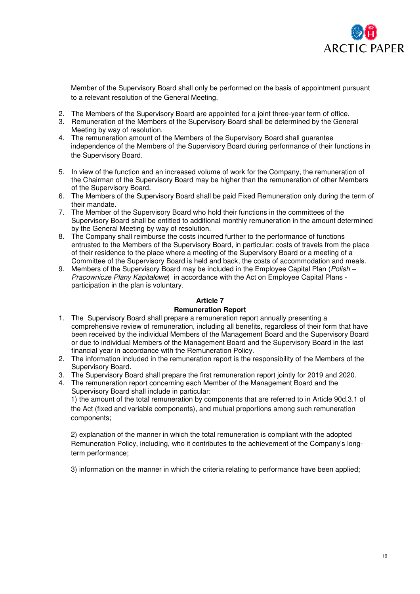

Member of the Supervisory Board shall only be performed on the basis of appointment pursuant to a relevant resolution of the General Meeting.

- 2. The Members of the Supervisory Board are appointed for a joint three-year term of office.
- 3. Remuneration of the Members of the Supervisory Board shall be determined by the General Meeting by way of resolution.
- 4. The remuneration amount of the Members of the Supervisory Board shall guarantee independence of the Members of the Supervisory Board during performance of their functions in the Supervisory Board.
- 5. In view of the function and an increased volume of work for the Company, the remuneration of the Chairman of the Supervisory Board may be higher than the remuneration of other Members of the Supervisory Board.
- 6. The Members of the Supervisory Board shall be paid Fixed Remuneration only during the term of their mandate.
- 7. The Member of the Supervisory Board who hold their functions in the committees of the Supervisory Board shall be entitled to additional monthly remuneration in the amount determined by the General Meeting by way of resolution.
- 8. The Company shall reimburse the costs incurred further to the performance of functions entrusted to the Members of the Supervisory Board, in particular: costs of travels from the place of their residence to the place where a meeting of the Supervisory Board or a meeting of a Committee of the Supervisory Board is held and back, the costs of accommodation and meals.
- 9. Members of the Supervisory Board may be included in the Employee Capital Plan (*Polish* Pracownicze Plany Kapitałowe) in accordance with the Act on Employee Capital Plans participation in the plan is voluntary.

# **Article 7**

# **Remuneration Report**

- 1. The Supervisory Board shall prepare a remuneration report annually presenting a comprehensive review of remuneration, including all benefits, regardless of their form that have been received by the individual Members of the Management Board and the Supervisory Board or due to individual Members of the Management Board and the Supervisory Board in the last financial year in accordance with the Remuneration Policy.
- 2. The information included in the remuneration report is the responsibility of the Members of the Supervisory Board.
- 3. The Supervisory Board shall prepare the first remuneration report jointly for 2019 and 2020.
- 4. The remuneration report concerning each Member of the Management Board and the Supervisory Board shall include in particular:

1) the amount of the total remuneration by components that are referred to in Article 90d.3.1 of the Act (fixed and variable components), and mutual proportions among such remuneration components;

2) explanation of the manner in which the total remuneration is compliant with the adopted Remuneration Policy, including, who it contributes to the achievement of the Company's longterm performance;

3) information on the manner in which the criteria relating to performance have been applied;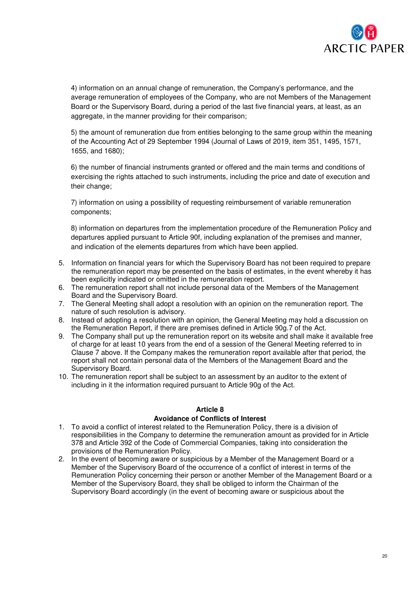

4) information on an annual change of remuneration, the Company's performance, and the average remuneration of employees of the Company, who are not Members of the Management Board or the Supervisory Board, during a period of the last five financial years, at least, as an aggregate, in the manner providing for their comparison;

5) the amount of remuneration due from entities belonging to the same group within the meaning of the Accounting Act of 29 September 1994 (Journal of Laws of 2019, item 351, 1495, 1571, 1655, and 1680);

6) the number of financial instruments granted or offered and the main terms and conditions of exercising the rights attached to such instruments, including the price and date of execution and their change:

7) information on using a possibility of requesting reimbursement of variable remuneration components;

8) information on departures from the implementation procedure of the Remuneration Policy and departures applied pursuant to Article 90f, including explanation of the premises and manner, and indication of the elements departures from which have been applied.

- 5. Information on financial years for which the Supervisory Board has not been required to prepare the remuneration report may be presented on the basis of estimates, in the event whereby it has been explicitly indicated or omitted in the remuneration report.
- 6. The remuneration report shall not include personal data of the Members of the Management Board and the Supervisory Board.
- 7. The General Meeting shall adopt a resolution with an opinion on the remuneration report. The nature of such resolution is advisory.
- 8. Instead of adopting a resolution with an opinion, the General Meeting may hold a discussion on the Remuneration Report, if there are premises defined in Article 90g.7 of the Act.
- 9. The Company shall put up the remuneration report on its website and shall make it available free of charge for at least 10 years from the end of a session of the General Meeting referred to in Clause 7 above. If the Company makes the remuneration report available after that period, the report shall not contain personal data of the Members of the Management Board and the Supervisory Board.
- 10. The remuneration report shall be subject to an assessment by an auditor to the extent of including in it the information required pursuant to Article 90g of the Act.

# **Article 8**

# **Avoidance of Conflicts of Interest**

- 1. To avoid a conflict of interest related to the Remuneration Policy, there is a division of responsibilities in the Company to determine the remuneration amount as provided for in Article 378 and Article 392 of the Code of Commercial Companies, taking into consideration the provisions of the Remuneration Policy.
- 2. In the event of becoming aware or suspicious by a Member of the Management Board or a Member of the Supervisory Board of the occurrence of a conflict of interest in terms of the Remuneration Policy concerning their person or another Member of the Management Board or a Member of the Supervisory Board, they shall be obliged to inform the Chairman of the Supervisory Board accordingly (in the event of becoming aware or suspicious about the